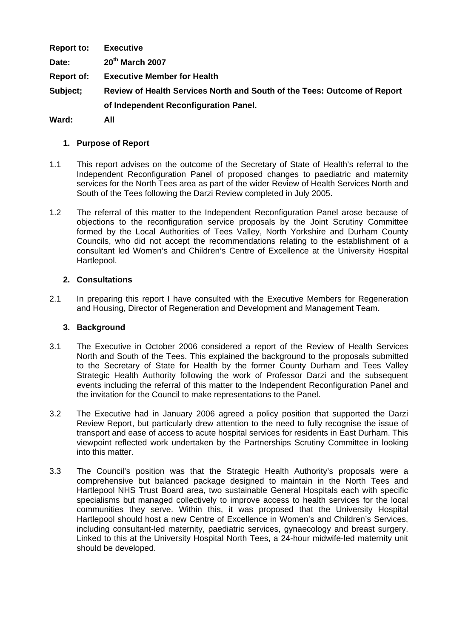**Report to: Executive Date: 20th March 2007 Report of: Executive Member for Health Subject; Review of Health Services North and South of the Tees: Outcome of Report of Independent Reconfiguration Panel.** 

**Ward: All** 

# **1. Purpose of Report**

- 1.1 This report advises on the outcome of the Secretary of State of Health's referral to the Independent Reconfiguration Panel of proposed changes to paediatric and maternity services for the North Tees area as part of the wider Review of Health Services North and South of the Tees following the Darzi Review completed in July 2005.
- 1.2 The referral of this matter to the Independent Reconfiguration Panel arose because of objections to the reconfiguration service proposals by the Joint Scrutiny Committee formed by the Local Authorities of Tees Valley, North Yorkshire and Durham County Councils, who did not accept the recommendations relating to the establishment of a consultant led Women's and Children's Centre of Excellence at the University Hospital Hartlepool.

### **2. Consultations**

2.1 In preparing this report I have consulted with the Executive Members for Regeneration and Housing, Director of Regeneration and Development and Management Team.

#### **3. Background**

- 3.1 The Executive in October 2006 considered a report of the Review of Health Services North and South of the Tees. This explained the background to the proposals submitted to the Secretary of State for Health by the former County Durham and Tees Valley Strategic Health Authority following the work of Professor Darzi and the subsequent events including the referral of this matter to the Independent Reconfiguration Panel and the invitation for the Council to make representations to the Panel.
- 3.2 The Executive had in January 2006 agreed a policy position that supported the Darzi Review Report, but particularly drew attention to the need to fully recognise the issue of transport and ease of access to acute hospital services for residents in East Durham. This viewpoint reflected work undertaken by the Partnerships Scrutiny Committee in looking into this matter.
- 3.3 The Council's position was that the Strategic Health Authority's proposals were a comprehensive but balanced package designed to maintain in the North Tees and Hartlepool NHS Trust Board area, two sustainable General Hospitals each with specific specialisms but managed collectively to improve access to health services for the local communities they serve. Within this, it was proposed that the University Hospital Hartlepool should host a new Centre of Excellence in Women's and Children's Services, including consultant-led maternity, paediatric services, gynaecology and breast surgery. Linked to this at the University Hospital North Tees, a 24-hour midwife-led maternity unit should be developed.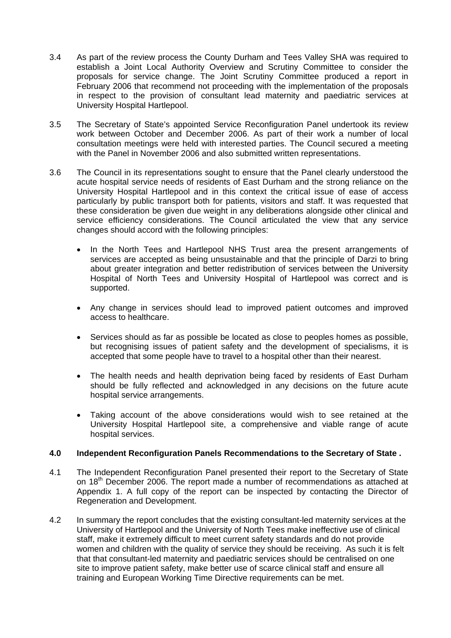- 3.4 As part of the review process the County Durham and Tees Valley SHA was required to establish a Joint Local Authority Overview and Scrutiny Committee to consider the proposals for service change. The Joint Scrutiny Committee produced a report in February 2006 that recommend not proceeding with the implementation of the proposals in respect to the provision of consultant lead maternity and paediatric services at University Hospital Hartlepool.
- 3.5 The Secretary of State's appointed Service Reconfiguration Panel undertook its review work between October and December 2006. As part of their work a number of local consultation meetings were held with interested parties. The Council secured a meeting with the Panel in November 2006 and also submitted written representations.
- 3.6 The Council in its representations sought to ensure that the Panel clearly understood the acute hospital service needs of residents of East Durham and the strong reliance on the University Hospital Hartlepool and in this context the critical issue of ease of access particularly by public transport both for patients, visitors and staff. It was requested that these consideration be given due weight in any deliberations alongside other clinical and service efficiency considerations. The Council articulated the view that any service changes should accord with the following principles:
	- In the North Tees and Hartlepool NHS Trust area the present arrangements of services are accepted as being unsustainable and that the principle of Darzi to bring about greater integration and better redistribution of services between the University Hospital of North Tees and University Hospital of Hartlepool was correct and is supported.
	- Any change in services should lead to improved patient outcomes and improved access to healthcare.
	- Services should as far as possible be located as close to peoples homes as possible, but recognising issues of patient safety and the development of specialisms, it is accepted that some people have to travel to a hospital other than their nearest.
	- The health needs and health deprivation being faced by residents of East Durham should be fully reflected and acknowledged in any decisions on the future acute hospital service arrangements.
	- Taking account of the above considerations would wish to see retained at the University Hospital Hartlepool site, a comprehensive and viable range of acute hospital services.

# **4.0 Independent Reconfiguration Panels Recommendations to the Secretary of State .**

- 4.1 The Independent Reconfiguration Panel presented their report to the Secretary of State on  $18<sup>th</sup>$  December 2006. The report made a number of recommendations as attached at Appendix 1. A full copy of the report can be inspected by contacting the Director of Regeneration and Development.
- 4.2 In summary the report concludes that the existing consultant-led maternity services at the University of Hartlepool and the University of North Tees make ineffective use of clinical staff, make it extremely difficult to meet current safety standards and do not provide women and children with the quality of service they should be receiving. As such it is felt that that consultant-led maternity and paediatric services should be centralised on one site to improve patient safety, make better use of scarce clinical staff and ensure all training and European Working Time Directive requirements can be met.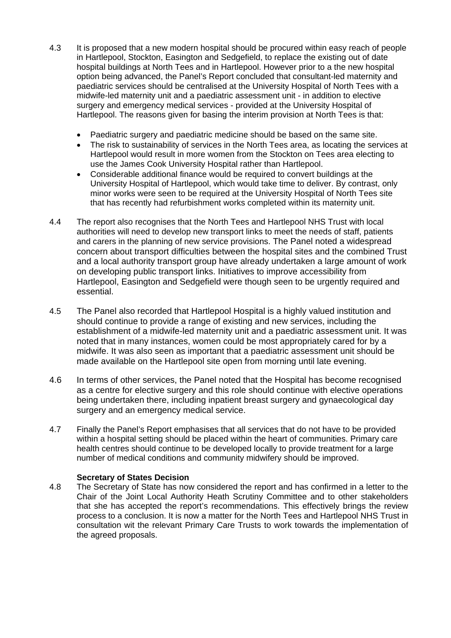- 4.3 It is proposed that a new modern hospital should be procured within easy reach of people in Hartlepool, Stockton, Easington and Sedgefield, to replace the existing out of date hospital buildings at North Tees and in Hartlepool. However prior to a the new hospital option being advanced, the Panel's Report concluded that consultant-led maternity and paediatric services should be centralised at the University Hospital of North Tees with a midwife-led maternity unit and a paediatric assessment unit - in addition to elective surgery and emergency medical services - provided at the University Hospital of Hartlepool. The reasons given for basing the interim provision at North Tees is that:
	- Paediatric surgery and paediatric medicine should be based on the same site.
	- The risk to sustainability of services in the North Tees area, as locating the services at Hartlepool would result in more women from the Stockton on Tees area electing to use the James Cook University Hospital rather than Hartlepool.
	- Considerable additional finance would be required to convert buildings at the University Hospital of Hartlepool, which would take time to deliver. By contrast, only minor works were seen to be required at the University Hospital of North Tees site that has recently had refurbishment works completed within its maternity unit.
- 4.4 The report also recognises that the North Tees and Hartlepool NHS Trust with local authorities will need to develop new transport links to meet the needs of staff, patients and carers in the planning of new service provisions. The Panel noted a widespread concern about transport difficulties between the hospital sites and the combined Trust and a local authority transport group have already undertaken a large amount of work on developing public transport links. Initiatives to improve accessibility from Hartlepool, Easington and Sedgefield were though seen to be urgently required and essential.
- 4.5 The Panel also recorded that Hartlepool Hospital is a highly valued institution and should continue to provide a range of existing and new services, including the establishment of a midwife-led maternity unit and a paediatric assessment unit. It was noted that in many instances, women could be most appropriately cared for by a midwife. It was also seen as important that a paediatric assessment unit should be made available on the Hartlepool site open from morning until late evening.
- 4.6 In terms of other services, the Panel noted that the Hospital has become recognised as a centre for elective surgery and this role should continue with elective operations being undertaken there, including inpatient breast surgery and gynaecological day surgery and an emergency medical service.
- 4.7 Finally the Panel's Report emphasises that all services that do not have to be provided within a hospital setting should be placed within the heart of communities. Primary care health centres should continue to be developed locally to provide treatment for a large number of medical conditions and community midwifery should be improved.

# **Secretary of States Decision**

4.8 The Secretary of State has now considered the report and has confirmed in a letter to the Chair of the Joint Local Authority Heath Scrutiny Committee and to other stakeholders that she has accepted the report's recommendations. This effectively brings the review process to a conclusion. It is now a matter for the North Tees and Hartlepool NHS Trust in consultation wit the relevant Primary Care Trusts to work towards the implementation of the agreed proposals.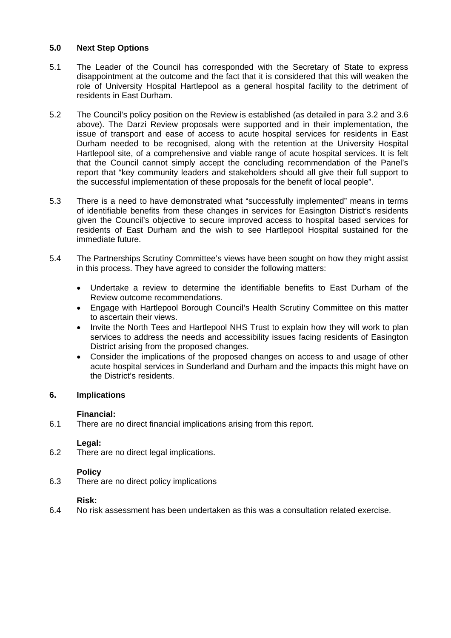# **5.0 Next Step Options**

- 5.1 The Leader of the Council has corresponded with the Secretary of State to express disappointment at the outcome and the fact that it is considered that this will weaken the role of University Hospital Hartlepool as a general hospital facility to the detriment of residents in East Durham.
- 5.2 The Council's policy position on the Review is established (as detailed in para 3.2 and 3.6 above). The Darzi Review proposals were supported and in their implementation, the issue of transport and ease of access to acute hospital services for residents in East Durham needed to be recognised, along with the retention at the University Hospital Hartlepool site, of a comprehensive and viable range of acute hospital services. It is felt that the Council cannot simply accept the concluding recommendation of the Panel's report that "key community leaders and stakeholders should all give their full support to the successful implementation of these proposals for the benefit of local people".
- 5.3 There is a need to have demonstrated what "successfully implemented" means in terms of identifiable benefits from these changes in services for Easington District's residents given the Council's objective to secure improved access to hospital based services for residents of East Durham and the wish to see Hartlepool Hospital sustained for the immediate future.
- 5.4 The Partnerships Scrutiny Committee's views have been sought on how they might assist in this process. They have agreed to consider the following matters:
	- Undertake a review to determine the identifiable benefits to East Durham of the Review outcome recommendations.
	- Engage with Hartlepool Borough Council's Health Scrutiny Committee on this matter to ascertain their views.
	- Invite the North Tees and Hartlepool NHS Trust to explain how they will work to plan services to address the needs and accessibility issues facing residents of Easington District arising from the proposed changes.
	- Consider the implications of the proposed changes on access to and usage of other acute hospital services in Sunderland and Durham and the impacts this might have on the District's residents.

# **6. Implications**

# **Financial:**

6.1 There are no direct financial implications arising from this report.

# **Legal:**

6.2 There are no direct legal implications.

# **Policy**

6.3 There are no direct policy implications

#### **Risk:**

6.4 No risk assessment has been undertaken as this was a consultation related exercise.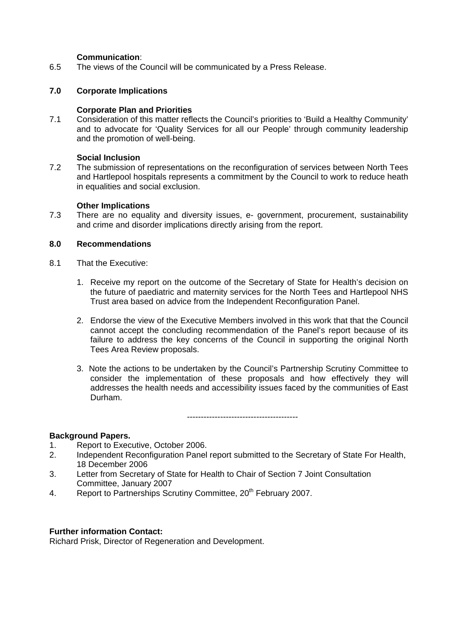### **Communication**:

6.5 The views of the Council will be communicated by a Press Release.

### **7.0 Corporate Implications**

### **Corporate Plan and Priorities**

7.1 Consideration of this matter reflects the Council's priorities to 'Build a Healthy Community' and to advocate for 'Quality Services for all our People' through community leadership and the promotion of well-being.

#### **Social Inclusion**

7.2 The submission of representations on the reconfiguration of services between North Tees and Hartlepool hospitals represents a commitment by the Council to work to reduce heath in equalities and social exclusion.

### **Other Implications**

7.3 There are no equality and diversity issues, e- government, procurement, sustainability and crime and disorder implications directly arising from the report.

# **8.0 Recommendations**

- 8.1 That the Executive:
	- 1. Receive my report on the outcome of the Secretary of State for Health's decision on the future of paediatric and maternity services for the North Tees and Hartlepool NHS Trust area based on advice from the Independent Reconfiguration Panel.
	- 2. Endorse the view of the Executive Members involved in this work that that the Council cannot accept the concluding recommendation of the Panel's report because of its failure to address the key concerns of the Council in supporting the original North Tees Area Review proposals.
	- 3. Note the actions to be undertaken by the Council's Partnership Scrutiny Committee to consider the implementation of these proposals and how effectively they will addresses the health needs and accessibility issues faced by the communities of East Durham.

----------------------------------------

#### **Background Papers.**

- 1. Report to Executive, October 2006.
- 2. Independent Reconfiguration Panel report submitted to the Secretary of State For Health, 18 December 2006
- 3. Letter from Secretary of State for Health to Chair of Section 7 Joint Consultation Committee, January 2007
- 4. Report to Partnerships Scrutiny Committee, 20<sup>th</sup> February 2007.

#### **Further information Contact:**

Richard Prisk, Director of Regeneration and Development.